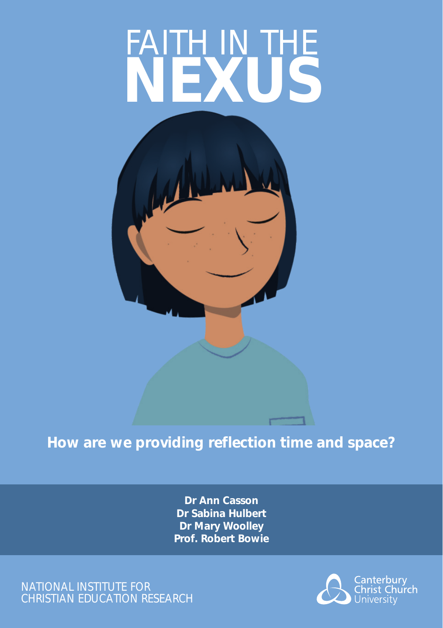# FAITH IN THE **NEXUS**



## **How are we providing reflection time and space?**

**Dr Ann Casson Dr Sabina Hulbert Dr Mary Woolley Prof. Robert Bowie**

NATIONAL INSTITUTE FOR CHRISTIAN EDUCATION RESEARCH

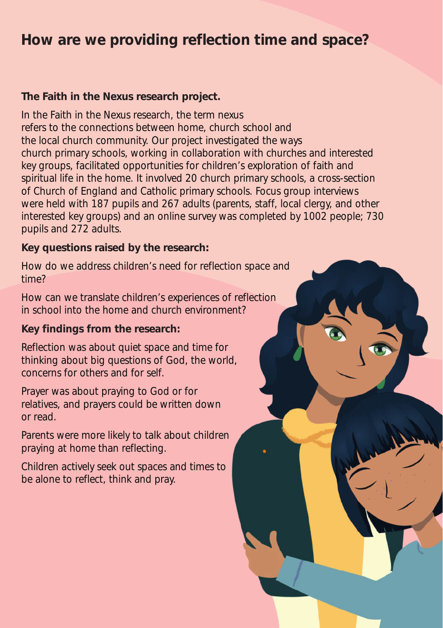## **How are we providing reflection time and space?**

#### **The Faith in the Nexus research project.**

In the Faith in the Nexus research, the term nexus refers to the connections between home, church school and the local church community. Our project investigated the ways church primary schools, working in collaboration with churches and interested key groups, facilitated opportunities for children's exploration of faith and spiritual life in the home. It involved 20 church primary schools, a cross-section of Church of England and Catholic primary schools. Focus group interviews were held with 187 pupils and 267 adults (parents, staff, local clergy, and other interested key groups) and an online survey was completed by 1002 people; 730 pupils and 272 adults.

#### **Key questions raised by the research:**

How do we address children's need for reflection space and time?

How can we translate children's experiences of reflection in school into the home and church environment?

### **Key findings from the research:**

Reflection was about quiet space and time for thinking about big questions of God, the world, concerns for others and for self.

Prayer was about praying to God or for relatives, and prayers could be written down or read.

Parents were more likely to talk about children praying at home than reflecting.

Children actively seek out spaces and times to be alone to reflect, think and pray.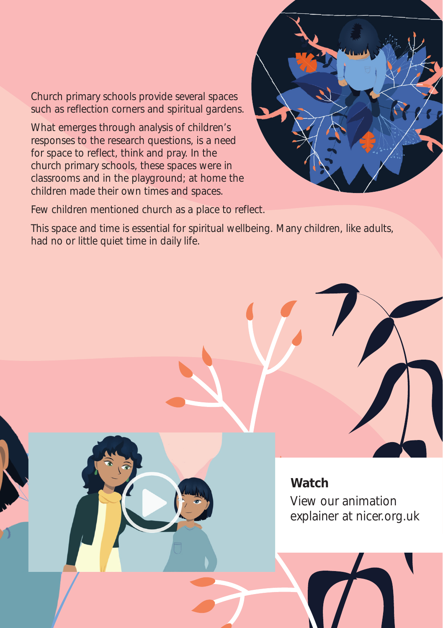Church primary schools provide several spaces such as reflection corners and spiritual gardens.

What emerges through analysis of children's responses to the research questions, is a need for space to reflect, think and pray. In the church primary schools, these spaces were in classrooms and in the playground; at home the children made their own times and spaces.

Few children mentioned church as a place to reflect.

This space and time is essential for spiritual wellbeing. Many children, like adults, had no or little quiet time in daily life.



View our animation explainer at nicer.org.uk